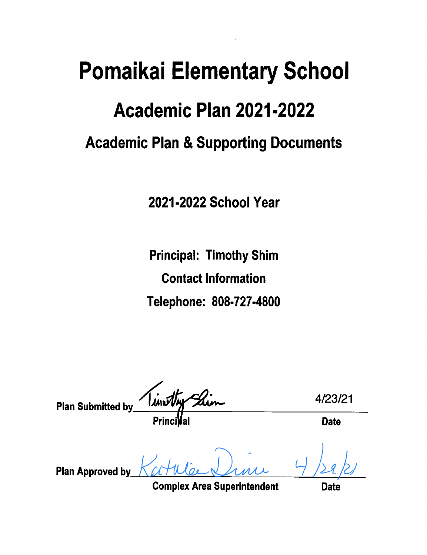# **Pomaikai Elementary School** Academic Plan 2021-2022 **Academic Plan & Supporting Documents**

2021-2022 School Year

**Principal: Timothy Shim Contact Information** Telephone: 808-727-4800

insthy 4/23/21 **Plan Submitted by Date Plan Approved by** 

**Complex Area Superintendent** 

Date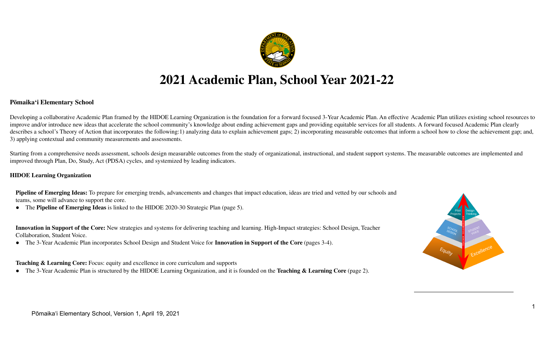

## **2021 Academic Plan, School Year 2021-22**

#### **Pōmaikaʻi Elementary School**

Developing a collaborative Academic Plan framed by the HIDOE Learning Organization is the foundation for a forward focused 3-Year Academic Plan. An effective Academic Plan utilizes existing school resources to improve and/or introduce new ideas that accelerate the school community's knowledge about ending achievement gaps and providing equitable services for all students. A forward focused Academic Plan clearly describes a school's Theory of Action that incorporates the following:1) analyzing data to explain achievement gaps; 2) incorporating measurable outcomes that inform a school how to close the achievement gap; and, 3) applying contextual and community measurements and assessments.

Starting from a comprehensive needs assessment, schools design measurable outcomes from the study of organizational, instructional, and student support systems. The measurable outcomes are implemented and improved through Plan, Do, Study, Act (PDSA) cycles, and systemized by leading indicators.

#### **HIDOE Learning Organization**

**Pipeline of Emerging Ideas:** To prepare for emerging trends, advancements and changes that impact education, ideas are tried and vetted by our schools and teams, some will advance to support the core.

● The **Pipeline of Emerging Ideas** is linked to the HIDOE 2020-30 Strategic Plan (page 5).

**Innovation in Support of the Core:** New strategies and systems for delivering teaching and learning. High-Impact strategies: School Design, Teacher Collaboration, Student Voice.

● The 3-Year Academic Plan incorporates School Design and Student Voice for **Innovation in Support of the Core** (pages 3-4).

#### **Teaching & Learning Core:** Focus: equity and excellence in core curriculum and supports

● The 3-Year Academic Plan is structured by the HIDOE Learning Organization, and it is founded on the **Teaching & Learning Core** (page 2).

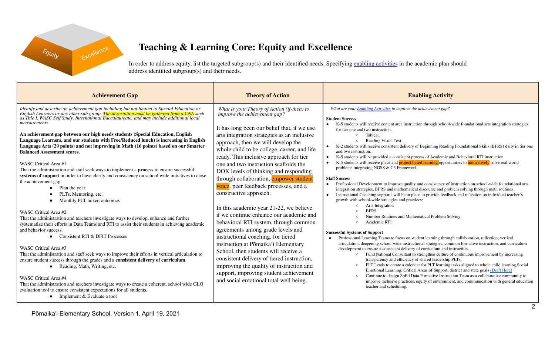

## **Teaching & Learning Core: Equity and Excellence**

In order to address equity, list the targeted subgroup(s) and their identified needs. Specifying enabling [activities](https://docs.google.com/document/d/1_CBCCCUPTqpr2sEeh1fQ9EUVupyhBBZlYUdzcm9zCw0) in the academic plan should address identified subgroup(s) and their needs.

| What are your Enabling Activities to improve the achievement gap?<br>Identify and describe an achievement gap including but not limited to Special Education or<br>English Learners or any other sub group. The description must be gathered from a CNA such<br>as Title I, WASC Self Study, Internationa<br>What is your Theory of Action (if-then) to<br>improve the achievement gap?<br><b>Student Success</b><br>measurements.<br>K-5 students will receive content area instruction through school-wide foundational arts integration strategies<br>It has long been our belief that, if we use<br>for tier one and two instruction.<br>An achievement gap between our high needs students (Special Education, English<br>arts integration strategies as an inclusive<br>Tableau<br>$\cap$<br>Language Learners, and our students with Free/Reduced lunch) is increasing in English<br><b>Reading Visual Text</b><br>approach, then we will develop the<br>Language Arts (29 points) and not improving in Math (16 points) based on our Smarter<br>K-2 students will receive consistent delivery of Beginning Reading Foundational Skills (BFRS) daily in tier one<br>whole child to be college, career, and life<br>and two instruction.<br><b>Balanced Assessment scores.</b><br>ready. This inclusive approach for tier<br>K-5 students will be provided a consistent process of Academic and Behavioral RTI instruction<br>$\bullet$<br>K-5 students will receive place and project based learning opportunities to innovatively solve real world<br>one and two instruction scaffolds the<br>WASC Critical Area #1<br>problems integrating NGSS & C3 Framework.<br>That the administration and staff seek ways to implement a process to ensure successful<br>DOK levels of thinking and responding<br>systems of support in order to have clarity and consistency on school wide initiatives to close<br>through collaboration, empower student<br><b>Staff Success</b><br>the achievement gap.<br>Professional Development to improve quality and consistency of instruction on school-wide foundational arts<br>voice, peer feedback processes, and a<br>Plan the year<br>$\bullet$<br>integration strategies, BFRS and mathematical discourse and problem solving through math routines<br>constructive approach.<br>PLTs, Mentoring, etc.<br>Instructional Coaching supports will be in place to provide feedback and reflection on individual teacher's<br>growth with school-wide strategies and practices:<br>Monthly PLT linked outcomes<br>Arts Integration<br>In this academic year 21-22, we believe<br><b>BFRS</b><br>WASC Critical Area #2<br>if we continue enhance our academic and<br>Number Routines and Mathematical Problem Solving<br>That the administration and teachers investigate ways to develop, enhance and further<br>behavioral RTI system, through common<br>Academic RTI<br>systematize their efforts in Data Teams and RTI to assist their students in achieving academic<br>agreements among grade levels and<br>and behavior success.<br><b>Successful Systems of Support</b><br>Consistent RTI & DFIT Processes<br>instructional coaching, for tiered<br>$\bullet$<br>Professional Learning Teams to focus on student learning through collaboration, reflection, vertical<br>articulation, deepening school-wide instructional strategies, common formative instruction, and curriculum<br>instruction at Pōmaika'i Elementary<br>WASC Critical Area #3<br>development to ensure a consistent delivery of curriculum and instruction.<br>School, then students will receive a<br>That the administration and staff seek ways to improve their efforts in vertical articulation to<br>Fund National Consultant to strengthen culture of continuous improvement by increasing<br>consistent delivery of tiered instruction,<br>transparency and efficiency of shared leadership PLTs.<br>ensure student success through the grades and a consistent delivery of curriculum.<br>PLT Leads to create a calendar for PLT learning tasks aligned to whole child learning, Social<br>improving the quality of instruction and<br>$\circ$<br>• Reading, Math, Writing, etc.<br>Emotional Learning, Critical Areas of Support, district and state goals (Draft Here)<br>support, improving student achievement<br>Continue to design SpEd Data Formative Instruction Team as a collaborative community to<br>WASC Critical Area #4<br>and social emotional total well being.<br>improve inclusive practices, equity of environment, and communication with general education<br>That the administration and teachers investigate ways to create a coherent, school wide GLO<br>teacher and scheduling.<br>evaluation tool to ensure consistent expectations for all students.<br>• Implement $& Evaluate a tool$ |
|---------------------------------------------------------------------------------------------------------------------------------------------------------------------------------------------------------------------------------------------------------------------------------------------------------------------------------------------------------------------------------------------------------------------------------------------------------------------------------------------------------------------------------------------------------------------------------------------------------------------------------------------------------------------------------------------------------------------------------------------------------------------------------------------------------------------------------------------------------------------------------------------------------------------------------------------------------------------------------------------------------------------------------------------------------------------------------------------------------------------------------------------------------------------------------------------------------------------------------------------------------------------------------------------------------------------------------------------------------------------------------------------------------------------------------------------------------------------------------------------------------------------------------------------------------------------------------------------------------------------------------------------------------------------------------------------------------------------------------------------------------------------------------------------------------------------------------------------------------------------------------------------------------------------------------------------------------------------------------------------------------------------------------------------------------------------------------------------------------------------------------------------------------------------------------------------------------------------------------------------------------------------------------------------------------------------------------------------------------------------------------------------------------------------------------------------------------------------------------------------------------------------------------------------------------------------------------------------------------------------------------------------------------------------------------------------------------------------------------------------------------------------------------------------------------------------------------------------------------------------------------------------------------------------------------------------------------------------------------------------------------------------------------------------------------------------------------------------------------------------------------------------------------------------------------------------------------------------------------------------------------------------------------------------------------------------------------------------------------------------------------------------------------------------------------------------------------------------------------------------------------------------------------------------------------------------------------------------------------------------------------------------------------------------------------------------------------------------------------------------------------------------------------------------------------------------------------------------------------------------------------------------------------------------------------------------------------------------------------------------------------------------------------------------------------------------------------------------------------------------------------------------------------------------------------------------------------------------------------------------------------------------------------------------------------------------------------------------------------------------------------------------------------------------------------------------------------------------------------------------------------------------------------------------------------------------------------------------------------------------------------------------------------------------------------------------------------------------------------------------------------------------------------------------------------------------------------------------------------|
|                                                                                                                                                                                                                                                                                                                                                                                                                                                                                                                                                                                                                                                                                                                                                                                                                                                                                                                                                                                                                                                                                                                                                                                                                                                                                                                                                                                                                                                                                                                                                                                                                                                                                                                                                                                                                                                                                                                                                                                                                                                                                                                                                                                                                                                                                                                                                                                                                                                                                                                                                                                                                                                                                                                                                                                                                                                                                                                                                                                                                                                                                                                                                                                                                                                                                                                                                                                                                                                                                                                                                                                                                                                                                                                                                                                                                                                                                                                                                                                                                                                                                                                                                                                                                                                                                                                                                                                                                                                                                                                                                                                                                                                                                                                                                                                                                                                         |

2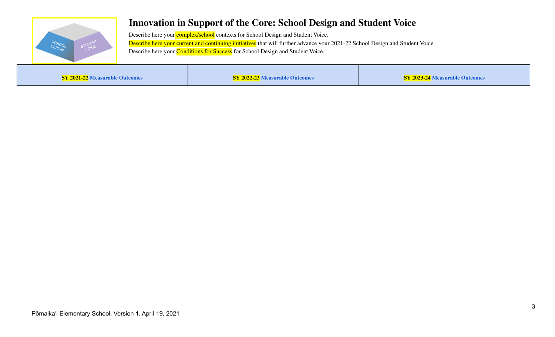

## **Innovation in Support of the Core: School Design and Student Voice**

Describe here your **complex/school** contexts for School Design and Student Voice. Describe here your current and continuing initiatives that will further advance your 2021-22 School Design and Student Voice. Describe here your **Conditions for Success** for School Design and Student Voice.

**SY 2021-22 [Measurable](https://docs.google.com/document/d/1ZUJS1Zd6kueCzag9Ja-rDCrDVyaJFBmV-dJgk6fY1X8/edit) Outcomes SY 2022-23 [Measurable](https://docs.google.com/document/d/1ZUJS1Zd6kueCzag9Ja-rDCrDVyaJFBmV-dJgk6fY1X8/edit) Outcomes SY 2023-24 [Measurable](https://docs.google.com/document/d/1ZUJS1Zd6kueCzag9Ja-rDCrDVyaJFBmV-dJgk6fY1X8/edit) Outcomes**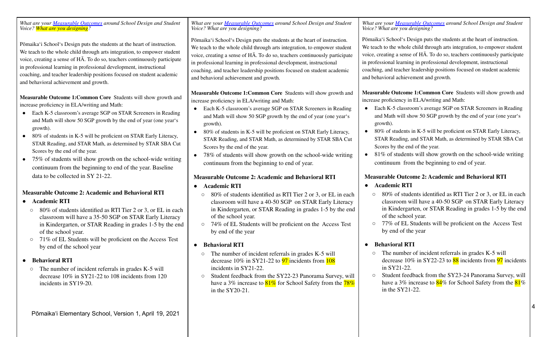*What are your [Measurable](https://docs.google.com/document/d/1ZUJS1Zd6kueCzag9Ja-rDCrDVyaJFBmV-dJgk6fY1X8) Outcomes around School Design and Student Voice? What are you designing?* Pōmaikaʻi Schoolʻs Design puts the students at the heart of instruction. We teach to the whole child through arts integration, to empower student voice, creating a sense of HĀ. To do so, teachers continuously participate in professional learning in professional development, instructional coaching, and teacher leadership positions focused on student academic and behavioral achievement and growth. **Measurable Outcome 1:Common Core** Students will show growth and increase proficiency in ELA/writing and Math: ● Each K-5 classroom's average SGP on STAR Screeners in Reading and Math will show 50 SGP growth by the end of year (one yearʻs growth). • 80% of students in K-5 will be proficient on STAR Early Literacy, STAR Reading, and STAR Math, as determined by STAR SBA Cut Scores by the end of the year. • 75% of students will show growth on the school-wide writing continuum from the beginning to end of the year. Baseline data to be collected in SY 21-22. **Measurable Outcome 2: Academic and Behavioral RTI ● Academic RTI ○** 80% of students identified as RTI Tier 2 or 3, or EL in each classroom will have a 35-50 SGP on STAR Early Literacy in Kindergarten, or STAR Reading in grades 1-5 by the end of the school year. ○ 71% of EL Students will be proficient on the Access Test by end of the school year **● Behavioral RTI**  $\circ$  The number of incident referrals in grades K-5 will decrease 10% in SY21-22 to 108 incidents from 120 incidents in SY19-20. *What are your [Measurable](https://docs.google.com/document/d/1ZUJS1Zd6kueCzag9Ja-rDCrDVyaJFBmV-dJgk6fY1X8) Outcomes around School Design and Student Voice? What are you designing?* Pōmaikaʻi Schoolʻs Design puts the students at the heart of instruction. We teach to the whole child through arts integration, to empower student voice, creating a sense of HĀ. To do so, teachers continuously participate in professional learning in professional development, instructional coaching, and teacher leadership positions focused on student academic and behavioral achievement and growth. **Measurable Outcome 1:Common Core** Students will show growth and increase proficiency in ELA/writing and Math: Each K-5 classroom's average SGP on STAR Screeners in Reading and Math will show 50 SGP growth by the end of year (one yearʻs growth). • 80% of students in K-5 will be proficient on STAR Early Literacy, STAR Reading, and STAR Math, as determined by STAR SBA Cut Scores by the end of the year. • 78% of students will show growth on the school-wide writing continuum from the beginning to end of year. **Measurable Outcome 2: Academic and Behavioral RTI ● Academic RTI ○** 80% of students identified as RTI Tier 2 or 3, or EL in each classroom will have a 40-50 SGP on STAR Early Literacy in Kindergarten, or STAR Reading in grades 1-5 by the end of the school year. ○ 74% of EL Students will be proficient on the Access Test by end of the year **● Behavioral RTI**  $\circ$  The number of incident referrals in grades K-5 will decrease  $10\%$  in SY21-22 to  $\frac{97}{2}$  incidents from  $\frac{108}{2}$ incidents in SY21-22. ○ Student feedback from the SY22-23 Panorama Survey, will have a 3% increase to  $81\%$  for School Safety from the  $78\%$ in the SY20-21. *What are your [Measurable](https://docs.google.com/document/d/1ZUJS1Zd6kueCzag9Ja-rDCrDVyaJFBmV-dJgk6fY1X8) Outcomes around School Design and Student Voice? What are you designing?* Pōmaikaʻi Schoolʻs Design puts the students at the heart of instruction. We teach to the whole child through arts integration, to empower student voice, creating a sense of HĀ. To do so, teachers continuously participate in professional learning in professional development, instructional coaching, and teacher leadership positions focused on student academic and behavioral achievement and growth. **Measurable Outcome 1:Common Core** Students will show growth and increase proficiency in ELA/writing and Math: • Each K-5 classroom's average SGP on STAR Screeners in Reading and Math will show 50 SGP growth by the end of year (one yearʻs growth). • 80% of students in K-5 will be proficient on STAR Early Literacy, STAR Reading, and STAR Math, as determined by STAR SBA Cut Scores by the end of the year.  $\bullet$  81% of students will show growth on the school-wide writing continuum from the beginning to end of year. **Measurable Outcome 2: Academic and Behavioral RTI ● Academic RTI ○** 80% of students identified as RTI Tier 2 or 3, or EL in each classroom will have a 40-50 SGP on STAR Early Literacy in Kindergarten, or STAR Reading in grades 1-5 by the end of the school year. ○ 77% of EL Students will be proficient on the Access Test by end of the year **● Behavioral RTI**  $\circ$  The number of incident referrals in grades K-5 will decrease  $10\%$  in SY22-23 to  $88$  incidents from  $97$  incidents in SY21-22. ○ Student feedback from the SY23-24 Panorama Survey, will have a 3% increase to  $84\%$  for School Safety from the  $81\%$ in the SY21-22.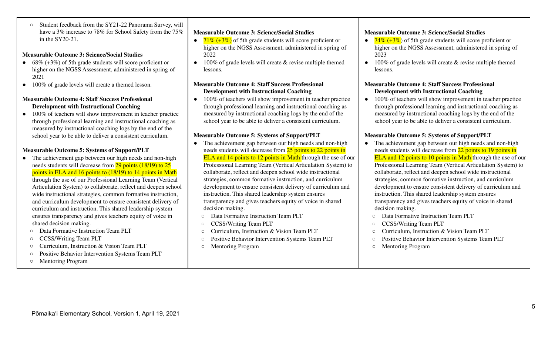○ Student feedback from the SY21-22 Panorama Survey, will have a 3% increase to 78% for School Safety from the 75% in the SY20-21.

#### **Measurable Outcome 3: Science/Social Studies**

- $\bullet$  68% (+3%) of 5th grade students will score proficient or higher on the NGSS Assessment, administered in spring of 2021
- 100% of grade levels will create a themed lesson.

#### **Measurable Outcome 4: Staff Success Professional Development with Instructional Coaching**

• 100% of teachers will show improvement in teacher practice through professional learning and instructional coaching as measured by instructional coaching logs by the end of the school year to be able to deliver a consistent curriculum.

#### **Measurable Outcome 5: Systems of Support/PLT**

- The achievement gap between our high needs and non-high needs students will decrease from 29 points (18/19) to 25 points in ELA and 16 points to (18/19) to 14 points in Math through the use of our Professional Learning Team (Vertical Articulation System) to collaborate, reflect and deepen school wide instructional strategies, common formative instruction, and curriculum development to ensure consistent delivery of curriculum and instruction. This shared leadership system ensures transparency and gives teachers equity of voice in shared decision making.
	- Data Formative Instruction Team PLT
	- CCSS/Writing Team PLT
	- Curriculum, Instruction & Vision Team PLT
	- Positive Behavior Intervention Systems Team PLT
	- Mentoring Program

#### **Measurable Outcome 3: Science/Social Studies**

- $71\%$  (+3%) of 5th grade students will score proficient or higher on the NGSS Assessment, administered in spring of 2022
- $\bullet$  100% of grade levels will create & revise multiple themed lessons.

#### **Measurable Outcome 4: Staff Success Professional Development with Instructional Coaching**

• 100% of teachers will show improvement in teacher practice through professional learning and instructional coaching as measured by instructional coaching logs by the end of the school year to be able to deliver a consistent curriculum.

#### **Measurable Outcome 5: Systems of Support/PLT**

- The achievement gap between our high needs and non-high needs students will decrease from 25 points to 22 points in ELA and 14 points to 12 points in Math through the use of our Professional Learning Team (Vertical Articulation System) to collaborate, reflect and deepen school wide instructional strategies, common formative instruction, and curriculum development to ensure consistent delivery of curriculum and instruction. This shared leadership system ensures transparency and gives teachers equity of voice in shared decision making.
	- Data Formative Instruction Team PLT
	- CCSS/Writing Team PLT
	- Curriculum, Instruction & Vision Team PLT
	- Positive Behavior Intervention Systems Team PLT
- Mentoring Program

#### **Measurable Outcome 3: Science/Social Studies**

- $\bullet$  74% (+3%) of 5th grade students will score proficient or higher on the NGSS Assessment, administered in spring of 2023
- $\bullet$  100% of grade levels will create & revise multiple themed lessons.

#### **Measurable Outcome 4: Staff Success Professional Development with Instructional Coaching**

• 100% of teachers will show improvement in teacher practice through professional learning and instructional coaching as measured by instructional coaching logs by the end of the school year to be able to deliver a consistent curriculum.

#### **Measurable Outcome 5: Systems of Support/PLT**

- The achievement gap between our high needs and non-high needs students will decrease from 22 points to 19 points in **ELA and 12 points to 10 points in Math through the use of our** Professional Learning Team (Vertical Articulation System) to collaborate, reflect and deepen school wide instructional strategies, common formative instruction, and curriculum development to ensure consistent delivery of curriculum and instruction. This shared leadership system ensures transparency and gives teachers equity of voice in shared decision making.
	- Data Formative Instruction Team PLT
	- CCSS/Writing Team PLT
	- Curriculum, Instruction & Vision Team PLT
	- Positive Behavior Intervention Systems Team PLT
	- Mentoring Program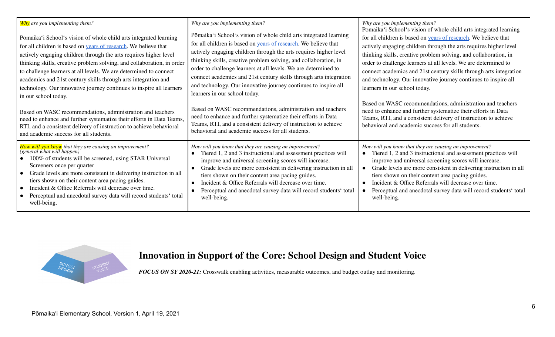| <b>Why</b> are you implementing them?<br>Pōmaika'i School's vision of whole child arts integrated learning<br>for all children is based on <b>years</b> of research. We believe that<br>actively engaging children through the arts requires higher level<br>thinking skills, creative problem solving, and collaboration, in order<br>to challenge learners at all levels. We are determined to connect<br>academics and 21st century skills through arts integration and<br>technology. Our innovative journey continues to inspire all learners<br>in our school today.<br>Based on WASC recommendations, administration and teachers<br>need to enhance and further systematize their efforts in Data Teams,<br>RTI, and a consistent delivery of instruction to achieve behavioral<br>and academic success for all students. | Why are you implementing them?<br>Pōmaika'i School's vision of whole child arts integrated learning<br>for all children is based on years of research. We believe that<br>actively engaging children through the arts requires higher level<br>thinking skills, creative problem solving, and collaboration, in<br>order to challenge learners at all levels. We are determined to<br>connect academics and 21st century skills through arts integration<br>and technology. Our innovative journey continues to inspire all<br>learners in our school today.<br>Based on WASC recommendations, administration and teachers<br>need to enhance and further systematize their efforts in Data<br>Teams, RTI, and a consistent delivery of instruction to achieve<br>behavioral and academic success for all students. | Why are you implementing them?<br>Pōmaika'i School's vision of whole child arts integrated learning<br>for all children is based on years of research. We believe that<br>actively engaging children through the arts requires higher level<br>thinking skills, creative problem solving, and collaboration, in<br>order to challenge learners at all levels. We are determined to<br>connect academics and 21st century skills through arts integration<br>and technology. Our innovative journey continues to inspire all<br>learners in our school today.<br>Based on WASC recommendations, administration and teachers<br>need to enhance and further systematize their efforts in Data<br>Teams, RTI, and a consistent delivery of instruction to achieve<br>behavioral and academic success for all students. |
|-----------------------------------------------------------------------------------------------------------------------------------------------------------------------------------------------------------------------------------------------------------------------------------------------------------------------------------------------------------------------------------------------------------------------------------------------------------------------------------------------------------------------------------------------------------------------------------------------------------------------------------------------------------------------------------------------------------------------------------------------------------------------------------------------------------------------------------|---------------------------------------------------------------------------------------------------------------------------------------------------------------------------------------------------------------------------------------------------------------------------------------------------------------------------------------------------------------------------------------------------------------------------------------------------------------------------------------------------------------------------------------------------------------------------------------------------------------------------------------------------------------------------------------------------------------------------------------------------------------------------------------------------------------------|---------------------------------------------------------------------------------------------------------------------------------------------------------------------------------------------------------------------------------------------------------------------------------------------------------------------------------------------------------------------------------------------------------------------------------------------------------------------------------------------------------------------------------------------------------------------------------------------------------------------------------------------------------------------------------------------------------------------------------------------------------------------------------------------------------------------|
| How will you know that they are causing an improvement?<br>(general what will happen)<br>100% of students will be screened, using STAR Universal<br>Screeners once per quarter<br>Grade levels are more consistent in delivering instruction in all<br>$\bullet$<br>tiers shown on their content area pacing guides.<br>Incident & Office Referrals will decrease over time.<br>Perceptual and anecdotal survey data will record students' total<br>well-being.                                                                                                                                                                                                                                                                                                                                                                   | How will you know that they are causing an improvement?<br>Tiered 1, 2 and 3 instructional and assessment practices will<br>improve and universal screening scores will increase.<br>Grade levels are more consistent in delivering instruction in all<br>tiers shown on their content area pacing guides.<br>Incident & Office Referrals will decrease over time.<br>Perceptual and anecdotal survey data will record students' total<br>well-being.                                                                                                                                                                                                                                                                                                                                                               | How will you know that they are causing an improvement?<br>Tiered 1, 2 and 3 instructional and assessment practices will<br>improve and universal screening scores will increase.<br>Grade levels are more consistent in delivering instruction in all<br>tiers shown on their content area pacing guides.<br>Incident & Office Referrals will decrease over time.<br>Perceptual and anecdotal survey data will record students' total<br>well-being.                                                                                                                                                                                                                                                                                                                                                               |



## **Innovation in Support of the Core: School Design and Student Voice**

*FOCUS ON SY 2020-21:* Crosswalk enabling activities, measurable outcomes, and budget outlay and monitoring.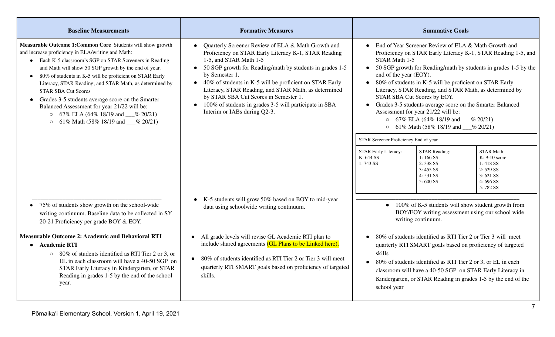| <b>Baseline Measurements</b>                                                                                                                                                                                                                                                                                                                                                                                                                                                                                                                                                                  | <b>Formative Measures</b>                                                                                                                                                                                                                                                                                                                                                                                                                                                                          | <b>Summative Goals</b>                                                                                                                                                                                                                                                                                                                                                                                                                                                                                                                                                                                                                                                                                                                                                                                                                                                                        |
|-----------------------------------------------------------------------------------------------------------------------------------------------------------------------------------------------------------------------------------------------------------------------------------------------------------------------------------------------------------------------------------------------------------------------------------------------------------------------------------------------------------------------------------------------------------------------------------------------|----------------------------------------------------------------------------------------------------------------------------------------------------------------------------------------------------------------------------------------------------------------------------------------------------------------------------------------------------------------------------------------------------------------------------------------------------------------------------------------------------|-----------------------------------------------------------------------------------------------------------------------------------------------------------------------------------------------------------------------------------------------------------------------------------------------------------------------------------------------------------------------------------------------------------------------------------------------------------------------------------------------------------------------------------------------------------------------------------------------------------------------------------------------------------------------------------------------------------------------------------------------------------------------------------------------------------------------------------------------------------------------------------------------|
| Measurable Outcome 1: Common Core Students will show growth<br>and increase proficiency in ELA/writing and Math:<br>• Each K-5 classroom's SGP on STAR Screeners in Reading<br>and Math will show 50 SGP growth by the end of year.<br>80% of students in K-5 will be proficient on STAR Early<br>Literacy, STAR Reading, and STAR Math, as determined by<br><b>STAR SBA Cut Scores</b><br>Grades 3-5 students average score on the Smarter<br>Balanced Assessment for year 21/22 will be:<br>$\circ$ 67% ELA (64% 18/19 and $\_\_\%$ 20/21)<br>61% Math (58% 18/19 and __% 20/21)<br>$\circ$ | Quarterly Screener Review of ELA & Math Growth and<br>$\bullet$<br>Proficiency on STAR Early Literacy K-1, STAR Reading<br>1-5, and STAR Math 1-5<br>50 SGP growth for Reading/math by students in grades 1-5<br>by Semester 1.<br>40% of students in K-5 will be proficient on STAR Early<br>$\bullet$<br>Literacy, STAR Reading, and STAR Math, as determined<br>by STAR SBA Cut Scores in Semester 1.<br>100% of students in grades 3-5 will participate in SBA<br>Interim or IABs during Q2-3. | End of Year Screener Review of ELA & Math Growth and<br>Proficiency on STAR Early Literacy K-1, STAR Reading 1-5, and<br>STAR Math 1-5<br>50 SGP growth for Reading/math by students in grades 1-5 by the<br>$\bullet$<br>end of the year (EOY).<br>80% of students in K-5 will be proficient on STAR Early<br>Literacy, STAR Reading, and STAR Math, as determined by<br>STAR SBA Cut Scores by EOY.<br>Grades 3-5 students average score on the Smarter Balanced<br>Assessment for year 21/22 will be:<br>$\circ$ 67% ELA (64% 18/19 and $\_\%$ 20/21)<br>$\circ$ 61% Math (58% 18/19 and $\_\%$ 20/21)<br>STAR Screener Proficiency End of year<br><b>STAR Reading:</b><br><b>STAR Math:</b><br><b>STAR Early Literacy:</b><br>K: 644 SS<br>$1:166$ SS<br>$K: 9-10$ score<br>2:338 SS<br>1:743 SS<br>1:418 SS<br>$3:455$ SS<br>2:529SS<br>4:531 SS<br>3:621 SS<br>$5:600$ SS<br>$4:696$ SS |
| 75% of students show growth on the school-wide<br>writing continuum. Baseline data to be collected in SY<br>20-21 Proficiency per grade BOY & EOY.                                                                                                                                                                                                                                                                                                                                                                                                                                            | K-5 students will grow 50% based on BOY to mid-year<br>$\bullet$<br>data using schoolwide writing continuum.                                                                                                                                                                                                                                                                                                                                                                                       | 5:782 SS<br>100% of K-5 students will show student growth from<br>$\bullet$<br>BOY/EOY writing assessment using our school wide<br>writing continuum.                                                                                                                                                                                                                                                                                                                                                                                                                                                                                                                                                                                                                                                                                                                                         |
| <b>Measurable Outcome 2: Academic and Behavioral RTI</b><br><b>Academic RTI</b><br>○ 80% of students identified as RTI Tier 2 or 3, or<br>EL in each classroom will have a 40-50 SGP on<br>STAR Early Literacy in Kindergarten, or STAR<br>Reading in grades 1-5 by the end of the school<br>year.                                                                                                                                                                                                                                                                                            | All grade levels will revise GL Academic RTI plan to<br>$\bullet$<br>include shared agreements (GL Plans to be Linked here).<br>80% of students identified as RTI Tier 2 or Tier 3 will meet<br>$\bullet$<br>quarterly RTI SMART goals based on proficiency of targeted<br>skills.                                                                                                                                                                                                                 | 80% of students identified as RTI Tier 2 or Tier 3 will meet<br>quarterly RTI SMART goals based on proficiency of targeted<br>skills<br>80% of students identified as RTI Tier 2 or 3, or EL in each<br>classroom will have a 40-50 SGP on STAR Early Literacy in<br>Kindergarten, or STAR Reading in grades 1-5 by the end of the<br>school year                                                                                                                                                                                                                                                                                                                                                                                                                                                                                                                                             |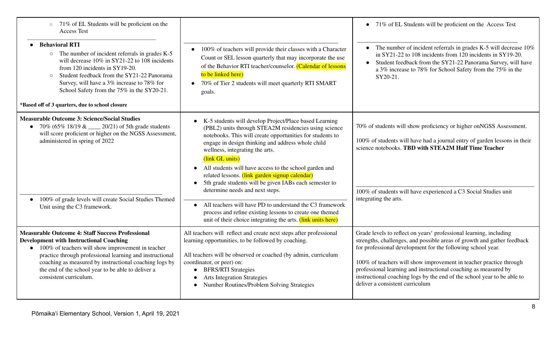| o 71% of EL Students will be proficient on the<br><b>Access Test</b><br><b>Behavioral RTI</b><br>$\circ$ The number of incident referrals in grades K-5<br>will decrease 10% in SY21-22 to 108 incidents<br>from 120 incidents in SY19-20.<br>Student feedback from the SY21-22 Panorama<br>$\circ$<br>Survey, will have a 3% increase to 78% for<br>School Safety from the 75% in the SY20-21.<br>*Based off of 3 quarters, due to school closure | 100% of teachers will provide their classes with a Character<br>$\bullet$<br>Count or SEL lesson quarterly that may incorporate the use<br>of the Behavior RTI teacher/counselor. (Calendar of lessons<br>to be linked here)<br>• 70% of Tier 2 students will meet quarterly RTI SMART<br>goals.                                                                                                                                                                                                                                                                                                                                                                                                                                | • 71% of EL Students will be proficient on the Access Test<br>• The number of incident referrals in grades K-5 will decrease $10\%$<br>in SY21-22 to 108 incidents from 120 incidents in SY19-20.<br>Student feedback from the SY21-22 Panorama Survey, will have<br>$\bullet$<br>a 3% increase to 78% for School Safety from the 75% in the<br>SY20-21.                                                                                                            |
|----------------------------------------------------------------------------------------------------------------------------------------------------------------------------------------------------------------------------------------------------------------------------------------------------------------------------------------------------------------------------------------------------------------------------------------------------|---------------------------------------------------------------------------------------------------------------------------------------------------------------------------------------------------------------------------------------------------------------------------------------------------------------------------------------------------------------------------------------------------------------------------------------------------------------------------------------------------------------------------------------------------------------------------------------------------------------------------------------------------------------------------------------------------------------------------------|---------------------------------------------------------------------------------------------------------------------------------------------------------------------------------------------------------------------------------------------------------------------------------------------------------------------------------------------------------------------------------------------------------------------------------------------------------------------|
| <b>Measurable Outcome 3: Science/Social Studies</b><br>• 70% (65% 18/19 & ____ 20/21) of 5th grade students<br>will score proficient or higher on the NGSS Assessment,<br>administered in spring of 2022<br>100% of grade levels will create Social Studies Themed<br>Unit using the C3 framework.                                                                                                                                                 | K-5 students will develop Project/Place based Learning<br>$\bullet$<br>(PBL2) units through STEA2M residencies using science<br>notebooks. This will create opportunities for students to<br>engage in design thinking and address whole child<br>wellness, integrating the arts.<br>(link GL units)<br>All students will have access to the school garden and<br>$\bullet$<br>related lessons. (link garden signup calendar)<br>5th grade students will be given IABs each semester to<br>determine needs and next steps.<br>All teachers will have PD to understand the C3 framework<br>$\bullet$<br>process and refine existing lessons to create one themed<br>unit of their choice integrating the arts. (link units here) | 70% of students will show proficiency or higher onNGSS Assessment.<br>100% of students will have had a journal entry of garden lessons in their<br>science notebooks. TBD with STEA2M Half Time Teacher<br>100% of students will have experienced a C3 Social Studies unit<br>integrating the arts.                                                                                                                                                                 |
| <b>Measurable Outcome 4: Staff Success Professional</b><br><b>Development with Instructional Coaching</b><br>$\bullet$ 100% of teachers will show improvement in teacher<br>practice through professional learning and instructional<br>coaching as measured by instructional coaching logs by<br>the end of the school year to be able to deliver a<br>consistent curriculum.                                                                     | All teachers will reflect and create next steps after professional<br>learning opportunities, to be followed by coaching.<br>All teachers will be observed or coached (by admin, curriculum<br>coordinator, or peer) on:<br><b>BFRS/RTI Strategies</b><br>$\bullet$<br><b>Arts Integration Strategies</b><br>$\bullet$<br>Number Routines/Problem Solving Strategies<br>$\bullet$                                                                                                                                                                                                                                                                                                                                               | Grade levels to reflect on years' professional learning, including<br>strengths, challenges, and possible areas of growth and gather feedback<br>for professional development for the following school year.<br>100% of teachers will show improvement in teacher practice through<br>professional learning and instructional coaching as measured by<br>instructional coaching logs by the end of the school year to be able to<br>deliver a consistent curriculum |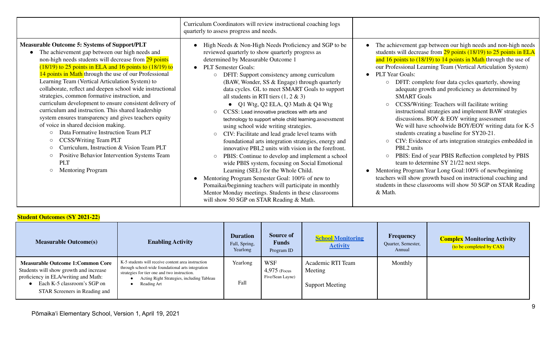|                                                                                                                                                                                                                                                                                                                                                                                                                                                                                                                                                                                                                                                                                                                                                                                                                                                                                                                | Curriculum Coordinators will review instructional coaching logs<br>quarterly to assess progress and needs.                                                                                                                                                                                                                                                                                                                                                                                                                                                                                                                                                                                                                                                                                                                                                                                                                                                                                                                                                                                                                          |                                                                                                                                                                                                                                                                                                                                                                                                                                                                                                                                                                                                                                                                                                                                                                                                                                                                                                                                                                                                                                                                                                                                  |
|----------------------------------------------------------------------------------------------------------------------------------------------------------------------------------------------------------------------------------------------------------------------------------------------------------------------------------------------------------------------------------------------------------------------------------------------------------------------------------------------------------------------------------------------------------------------------------------------------------------------------------------------------------------------------------------------------------------------------------------------------------------------------------------------------------------------------------------------------------------------------------------------------------------|-------------------------------------------------------------------------------------------------------------------------------------------------------------------------------------------------------------------------------------------------------------------------------------------------------------------------------------------------------------------------------------------------------------------------------------------------------------------------------------------------------------------------------------------------------------------------------------------------------------------------------------------------------------------------------------------------------------------------------------------------------------------------------------------------------------------------------------------------------------------------------------------------------------------------------------------------------------------------------------------------------------------------------------------------------------------------------------------------------------------------------------|----------------------------------------------------------------------------------------------------------------------------------------------------------------------------------------------------------------------------------------------------------------------------------------------------------------------------------------------------------------------------------------------------------------------------------------------------------------------------------------------------------------------------------------------------------------------------------------------------------------------------------------------------------------------------------------------------------------------------------------------------------------------------------------------------------------------------------------------------------------------------------------------------------------------------------------------------------------------------------------------------------------------------------------------------------------------------------------------------------------------------------|
| <b>Measurable Outcome 5: Systems of Support/PLT</b><br>The achievement gap between our high needs and<br>non-high needs students will decrease from 29 points<br>$(18/19)$ to 25 points in ELA and 16 points to $(18/19)$ to<br>14 points in Math through the use of our Professional<br>Learning Team (Vertical Articulation System) to<br>collaborate, reflect and deepen school wide instructional<br>strategies, common formative instruction, and<br>curriculum development to ensure consistent delivery of<br>curriculum and instruction. This shared leadership<br>system ensures transparency and gives teachers equity<br>of voice in shared decision making.<br>Data Formative Instruction Team PLT<br><b>CCSS/Writing Team PLT</b><br>$\circ$<br>Curriculum, Instruction & Vision Team PLT<br>$\circ$<br>Positive Behavior Intervention Systems Team<br>$\circ$<br><b>PLT</b><br>Mentoring Program | High Needs & Non-High Needs Proficiency and SGP to be<br>reviewed quarterly to show quarterly progress as<br>determined by Measurable Outcome 1<br><b>PLT</b> Semester Goals:<br>DFIT: Support consistency among curriculum<br>$\circ$<br>(BAW, Wonder, SS & Engage) through quarterly<br>data cycles. GL to meet SMART Goals to support<br>all students in RTI tiers $(1, 2 \& 3)$<br>• Q1 Wtg, Q2 ELA, Q3 Math & Q4 Wtg<br>CCSS: Lead innovative practices with arts and<br>$\circ$<br>technology to support whole child learning.assessment<br>using school wide writing strategies.<br>CIV: Facilitate and lead grade level teams with<br>foundational arts integration strategies, energy and<br>innovative PBL2 units with vision in the forefront.<br>PBIS: Continue to develop and implement a school<br>$\circ$<br>wide PBIS system, focusing on Social Emotional<br>Learning (SEL) for the Whole Child.<br>Mentoring Program Semester Goal: 100% of new to<br>Pomaikai/beginning teachers will participate in monthly<br>Mentor Monday meetings. Students in these classrooms<br>will show 50 SGP on STAR Reading & Math. | The achievement gap between our high needs and non-high needs<br>students will decrease from $29$ points (18/19) to $25$ points in ELA<br>and 16 points to (18/19) to 14 points in Math through the use of<br>our Professional Learning Team (Vertical Articulation System)<br><b>PLT Year Goals:</b><br>DFIT: complete four data cycles quarterly, showing<br>$\circ$<br>adequate growth and proficiency as determined by<br><b>SMART Goals</b><br>CCSS/Writing: Teachers will facilitate writing<br>$\circ$<br>instructional strategies and implement BAW strategies<br>discussions. BOY & EOY writing assessment<br>We will have schoolwide BOY/EOY writing data for K-5<br>students creating a baseline for SY20-21.<br>CIV: Evidence of arts integration strategies embedded in<br>$\circ$<br>PBL2 units<br>PBIS: End of year PBIS Reflection completed by PBIS<br>$\circ$<br>team to determine SY 21/22 next steps.<br>Mentoring Program Year Long Goal:100% of new/beginning<br>teachers will show growth based on instructional coaching and<br>students in these classrooms will show 50 SGP on STAR Reading<br>& Math. |

#### **Student Outcomes (SY 2021-22)**

| <b>Measurable Outcome(s)</b>                                                                                                                                                               | <b>Enabling Activity</b>                                                                                                                                                                                             | <b>Duration</b><br>Fall, Spring,<br>Yearlong | <b>Source of</b><br><b>Funds</b><br>Program ID   | <b>School Monitoring</b><br><b>Activity</b>            | Frequency<br>Quarter, Semester,<br>Annual | <b>Complex Monitoring Activity</b><br>(to be completed by CAS) |
|--------------------------------------------------------------------------------------------------------------------------------------------------------------------------------------------|----------------------------------------------------------------------------------------------------------------------------------------------------------------------------------------------------------------------|----------------------------------------------|--------------------------------------------------|--------------------------------------------------------|-------------------------------------------|----------------------------------------------------------------|
| <b>Measurable Outcome 1: Common Core</b><br>Students will show growth and increase<br>proficiency in ELA/writing and Math:<br>Each K-5 classroom's SGP on<br>STAR Screeners in Reading and | K-5 students will receive content area instruction<br>through school-wide foundational arts integration<br>strategies for tier one and two instruction.<br>Acting Right Strategies, including Tableau<br>Reading Art | Yearlong<br>Fall                             | <b>WSF</b><br>$4,975$ (Focus<br>Five/Sean Layne) | Academic RTI Team<br>Meeting<br><b>Support Meeting</b> | Monthly                                   |                                                                |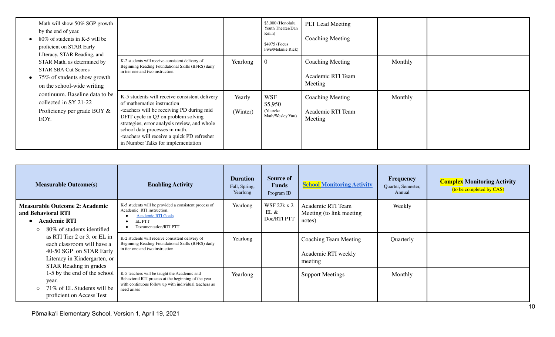| Math will show 50% SGP growth<br>by the end of year.<br>80\% of students in K-5 will be<br>proficient on STAR Early<br>LIteracy, STAR Reading, and |                                                                                                                                                                                                                                                                                                                                        |                    | \$3,000 (Honolulu<br>Youth Theater/Dan<br>Kelin)<br>\$4975 (Focus<br>Five/Melanie Rick) | <b>PLT</b> Lead Meeting<br><b>Coaching Meeting</b>      |         |  |
|----------------------------------------------------------------------------------------------------------------------------------------------------|----------------------------------------------------------------------------------------------------------------------------------------------------------------------------------------------------------------------------------------------------------------------------------------------------------------------------------------|--------------------|-----------------------------------------------------------------------------------------|---------------------------------------------------------|---------|--|
| STAR Math, as determined by<br><b>STAR SBA Cut Scores</b><br>75% of students show growth<br>$\bullet$<br>on the school-wide writing                | K-2 students will receive consistent delivery of<br>Beginning Reading Foundational Skills (BFRS) daily<br>in tier one and two instruction.                                                                                                                                                                                             | Yearlong           | $\theta$                                                                                | Coaching Meeting<br>Academic RTI Team<br>Meeting        | Monthly |  |
| continuum. Baseline data to be<br>collected in SY 21-22<br>Proficiency per grade BOY $\&$<br>EOY.                                                  | K-5 students will receive consistent delivery<br>of mathematics instruction<br>-teachers will be receiving PD during mid<br>DFIT cycle in Q3 on problem solving<br>strategies, error analysis review, and whole<br>school data processes in math.<br>-teachers will receive a quick PD refresher<br>in Number Talks for implementation | Yearly<br>(Winter) | <b>WSF</b><br>\$5,950<br>(Yuureka<br>Math/Wesley Yuu)                                   | <b>Coaching Meeting</b><br>Academic RTI Team<br>Meeting | Monthly |  |

| <b>Measurable Outcome(s)</b>                                                                                                                           | <b>Enabling Activity</b>                                                                                                                                                    | <b>Duration</b><br>Fall, Spring,<br>Yearlong | Source of<br><b>Funds</b><br>Program ID   | <b>School Monitoring Activity</b>                        | Frequency<br>Quarter, Semester,<br>Annual | <b>Complex Monitoring Activity</b><br>(to be completed by CAS) |
|--------------------------------------------------------------------------------------------------------------------------------------------------------|-----------------------------------------------------------------------------------------------------------------------------------------------------------------------------|----------------------------------------------|-------------------------------------------|----------------------------------------------------------|-------------------------------------------|----------------------------------------------------------------|
| <b>Measurable Outcome 2: Academic</b><br>and Behavioral RTI<br><b>Academic RTI</b><br>80% of students identified<br>$\circ$                            | K-5 students will be provided a consistent process of<br>Academic RTI instruction.<br><b>Academic RTI Goals</b><br>EL PTT<br>Documentation/RTI PTT                          | Yearlong                                     | <b>WSF 22k x 2</b><br>EL &<br>Doc/RTI PTT | Academic RTI Team<br>Meeting (to link meeting)<br>notes) | Weekly                                    |                                                                |
| as RTI Tier 2 or 3, or EL in<br>each classroom will have a<br>40-50 SGP on STAR Early<br>Literacy in Kindergarten, or<br><b>STAR Reading in grades</b> | K-2 students will receive consistent delivery of<br>Beginning Reading Foundational Skills (BFRS) daily<br>in tier one and two instruction.                                  | Yearlong                                     |                                           | Coaching Team Meeting<br>Academic RTI weekly<br>meeting  | Quarterly                                 |                                                                |
| 1-5 by the end of the school<br>year.<br>71% of EL Students will be<br>proficient on Access Test                                                       | K-5 teachers will be taught the Academic and<br>Behavioral RTI process at the beginning of the year<br>with continuous follow up with individual teachers as<br>need arises | Yearlong                                     |                                           | <b>Support Meetings</b>                                  | Monthly                                   |                                                                |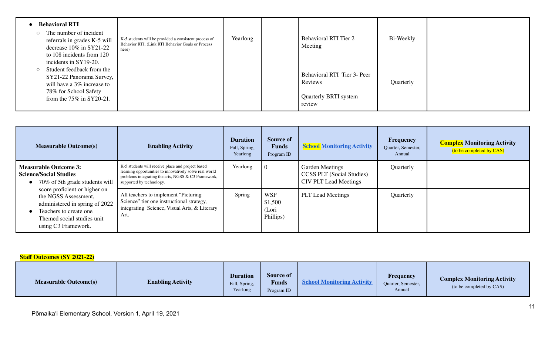| <b>Behavioral RTI</b><br>The number of incident<br>referrals in grades K-5 will<br>decrease $10\%$ in SY21-22<br>to 108 incidents from 120                           | K-5 students will be provided a consistent process of<br>Behavior RTI. (Link RTI Behavior Goals or Process<br>here) | Yearlong | <b>Behavioral RTI Tier 2</b><br>Meeting                                          | Bi-Weekly |  |
|----------------------------------------------------------------------------------------------------------------------------------------------------------------------|---------------------------------------------------------------------------------------------------------------------|----------|----------------------------------------------------------------------------------|-----------|--|
| incidents in SY19-20.<br>Student feedback from the<br>SY21-22 Panorama Survey,<br>will have a 3% increase to<br>78% for School Safety<br>from the $75\%$ in SY20-21. |                                                                                                                     |          | Behavioral RTI Tier 3- Peer<br>Reviews<br><b>Quarterly BRTI system</b><br>review | Quarterly |  |

| <b>Measurable Outcome(s)</b>                                                                                                                                           | <b>Enabling Activity</b>                                                                                                                                                                           | <b>Duration</b><br>Fall, Spring,<br>Yearlong | <b>Source of</b><br><b>Funds</b><br>Program ID | <b>School Monitoring Activity</b>                                                          | Frequency<br>Quarter, Semester,<br>Annual | <b>Complex Monitoring Activity</b><br>(to be completed by CAS) |
|------------------------------------------------------------------------------------------------------------------------------------------------------------------------|----------------------------------------------------------------------------------------------------------------------------------------------------------------------------------------------------|----------------------------------------------|------------------------------------------------|--------------------------------------------------------------------------------------------|-------------------------------------------|----------------------------------------------------------------|
| <b>Measurable Outcome 3:</b><br><b>Science/Social Studies</b><br>70% of 5th grade students will                                                                        | K-5 students will receive place and project based<br>learning opportunities to innovatively solve real world<br>problems integrating the arts, NGSS $\&$ C3 Framework,<br>supported by technology. | Yearlong                                     | $\Omega$                                       | <b>Garden Meetings</b><br><b>CCSS PLT</b> (Social Studies)<br><b>CIV PLT Lead Meetings</b> | Quarterly                                 |                                                                |
| score proficient or higher on<br>the NGSS Assessment,<br>administered in spring of 2022<br>Teachers to create one<br>Themed social studies unit<br>using C3 Framework. | All teachers to implement "Picturing"<br>Science" tier one instructional strategy,<br>integrating Science, Visual Arts, & Literary<br>Art.                                                         | Spring                                       | <b>WSF</b><br>\$1,500<br>(Lori<br>Phillips)    | <b>PLT</b> Lead Meetings                                                                   | Quarterly                                 |                                                                |

#### **Staff Outcomes (SY 2021-22)**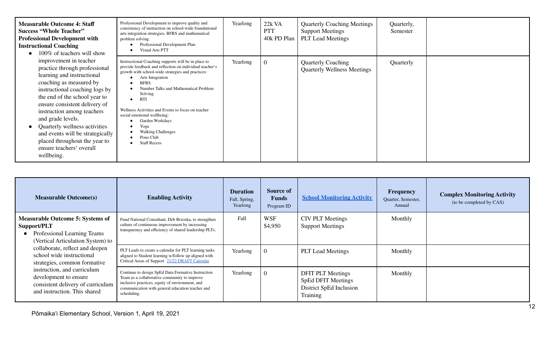| <b>Measurable Outcome 4: Staff</b><br><b>Success "Whole Teacher"</b><br><b>Professional Development with</b><br><b>Instructional Coaching</b><br>100% of teachers will show                                                                                                                                                                                                                                             | Professional Development to improve quality and<br>consistency of instruction on school-wide foundational<br>arts integration strategies, BFRS and mathematical<br>problem solving<br>Professional Development Plan<br><b>Visual Arts PTT</b>                                                                                                                                                                                                             | Yearlong | 22k VA<br><b>PTT</b><br>40k PD Plan | <b>Quarterly Coaching Meetings</b><br><b>Support Meetings</b><br><b>PLT</b> Lead Meetings | Quarterly,<br>Semester |  |
|-------------------------------------------------------------------------------------------------------------------------------------------------------------------------------------------------------------------------------------------------------------------------------------------------------------------------------------------------------------------------------------------------------------------------|-----------------------------------------------------------------------------------------------------------------------------------------------------------------------------------------------------------------------------------------------------------------------------------------------------------------------------------------------------------------------------------------------------------------------------------------------------------|----------|-------------------------------------|-------------------------------------------------------------------------------------------|------------------------|--|
| improvement in teacher<br>practice through professional<br>learning and instructional<br>coaching as measured by<br>instructional coaching logs by<br>the end of the school year to<br>ensure consistent delivery of<br>instruction among teachers<br>and grade levels.<br>Quarterly wellness activities<br>and events will be strategically<br>placed throughout the year to<br>ensure teachers' overall<br>wellbeing. | Instructional Coaching supports will be in place to<br>provide feedback and reflection on individual teacher's<br>growth with school-wide strategies and practices:<br>Arts Integration<br><b>BFRS</b><br>Number Talks and Mathematical Problem<br>Solving<br><b>RTI</b><br>Wellness Activities and Events to focus on teacher<br>social emotional wellbeing:<br>Garden Workdays<br>Yoga<br><b>Walking Challenges</b><br>Pono Club<br><b>Staff Recess</b> | Yearlong | $\mathbf 0$                         | <b>Quarterly Coaching</b><br><b>Quarterly Wellness Meetings</b>                           | Quarterly              |  |

| <b>Measurable Outcome(s)</b>                                                                                                                                                                                                                                                                                                                            | <b>Enabling Activity</b>                                                                                                                                                                                                 | <b>Duration</b><br>Fall, Spring,<br>Yearlong | Source of<br><b>Funds</b><br>Program ID | <b>School Monitoring Activity</b>                                                            | <b>Frequency</b><br>Quarter, Semester,<br>Annual | <b>Complex Monitoring Activity</b><br>(to be completed by CAS) |
|---------------------------------------------------------------------------------------------------------------------------------------------------------------------------------------------------------------------------------------------------------------------------------------------------------------------------------------------------------|--------------------------------------------------------------------------------------------------------------------------------------------------------------------------------------------------------------------------|----------------------------------------------|-----------------------------------------|----------------------------------------------------------------------------------------------|--------------------------------------------------|----------------------------------------------------------------|
| <b>Measurable Outcome 5: Systems of</b><br>Support/PLT<br>Professional Learning Teams<br>(Vertical Articulation System) to<br>collaborate, reflect and deepen<br>school wide instructional<br>strategies, common formative<br>instruction, and curriculum<br>development to ensure<br>consistent delivery of curriculum<br>and instruction. This shared | Fund National Consultant, Deb Brzoska, to strengthen<br>culture of continuous improvement by increasing<br>transparency and efficiency of shared leadership PLTs.                                                        | Fall                                         | <b>WSF</b><br>\$4,950                   | <b>CIV PLT Meetings</b><br><b>Support Meetings</b>                                           | Monthly                                          |                                                                |
|                                                                                                                                                                                                                                                                                                                                                         | PLT Leads to create a calendar for PLT learning tasks<br>aligned to Student learning w/follow up aligned with<br>Critical Areas of Support 21/22 DRAFT Calendar                                                          | Yearlong                                     | $\theta$                                | <b>PLT Lead Meetings</b>                                                                     | Monthly                                          |                                                                |
|                                                                                                                                                                                                                                                                                                                                                         | Continue to design SpEd Data Formative Instruction<br>Team as a collaborative community to improve<br>inclusive practices, equity of environment, and<br>communication with general education teacher and<br>scheduling. | Yearlong                                     | $\theta$                                | <b>DFIT PLT Meetings</b><br><b>SpEd DFIT Meetings</b><br>District SpEd Inclusion<br>Training | Monthly                                          |                                                                |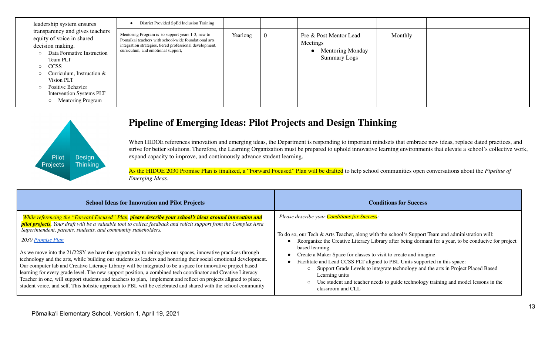| leadership system ensures                                                                                                                                                                                                                                                                                                              | District Provided SpEd Inclusion Training                                                                                                                                                                   |          |          |                                                                                      |         |  |
|----------------------------------------------------------------------------------------------------------------------------------------------------------------------------------------------------------------------------------------------------------------------------------------------------------------------------------------|-------------------------------------------------------------------------------------------------------------------------------------------------------------------------------------------------------------|----------|----------|--------------------------------------------------------------------------------------|---------|--|
| transparency and gives teachers<br>equity of voice in shared<br>decision making.<br>Data Formative Instruction<br>$\circ$<br>Team PLT<br><b>CCSS</b><br>$\circ$<br>Curriculum, Instruction &<br>$\circ$<br>Vision PLT<br><b>Positive Behavior</b><br>$\circ$<br><b>Intervention Systems PLT</b><br><b>Mentoring Program</b><br>$\circ$ | Mentoring Program is to support years 1-3, new to<br>Pomaikai teachers with school-wide foundational arts<br>integration strategies, tiered professional development,<br>curriculum, and emotional support, | Yearlong | $\bf{0}$ | Pre & Post Mentor Lead<br>Meetings<br><b>Mentoring Monday</b><br><b>Summary Logs</b> | Monthly |  |



### **Pipeline of Emerging Ideas: Pilot Projects and Design Thinking**

When HIDOE references innovation and emerging ideas, the Department is responding to important mindsets that embrace new ideas, replace dated practices, and strive for better solutions. Therefore, the Learning Organization must be prepared to uphold innovative learning environments that elevate a school's collective work, expand capacity to improve, and continuously advance student learning.

As the HIDOE 2030 Promise Plan is finalized, a "Forward Focused" Plan will be drafted to help school communities open conversations about the *Pipeline of Emerging Ideas*.

| <b>School Ideas for Innovation and Pilot Projects</b>                                                            | <b>Conditions for Success</b>                                                                        |
|------------------------------------------------------------------------------------------------------------------|------------------------------------------------------------------------------------------------------|
| While referencing the "Forward Focused" Plan, please describe your school's ideas around innovation and          | Please describe your <b>Conditions for Success</b> :                                                 |
| pilot projects. Your draft will be a valuable tool to collect feedback and solicit support from the Complex Area | To do so, our Tech & Arts Teacher, along with the school's Support Team and administration will:     |
| Superintendent, parents, students, and community stakeholders.                                                   | Reorganize the Creative Literacy Library after being dormant for a year, to be conducive for project |
| 2030 <u>Promise Plan</u>                                                                                         | based learning.                                                                                      |
| As we move into the 21/22SY we have the opportunity to reimagine our spaces, innovative practices through        | Create a Maker Space for classes to visit to create and imagine                                      |
| technology and the arts, while building our students as leaders and honoring their social emotional development. | Facilitate and Lead CCSS PLT aligned to PBL Units supported in this space:                           |
| Our computer lab and Creative Literacy Library will be integrated to be a space for innovative project based     | Support Grade Levels to integrate technology and the arts in Project Placed Based                    |
| learning for every grade level. The new support position, a combined tech coordinator and Creative Literacy      | Learning units                                                                                       |
| Teacher in one, will support students and teachers to plan, implement and reflect on projects aligned to place,  | Use student and teacher needs to guide technology training and model lessons in the                  |
| student voice, and self. This holistic approach to PBL will be celebrated and shared with the school community   | classroom and CLL                                                                                    |